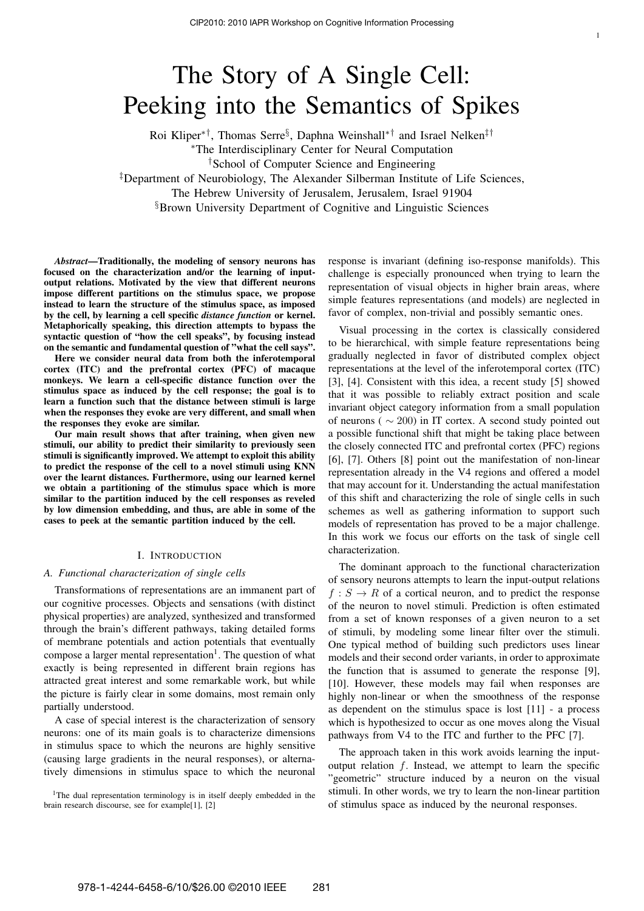# The Story of A Single Cell: Peeking into the Semantics of Spikes

Roi Kliper∗†, Thomas Serre§ , Daphna Weinshall∗† and Israel Nelken‡† <sup>∗</sup>The Interdisciplinary Center for Neural Computation

†School of Computer Science and Engineering

‡Department of Neurobiology, The Alexander Silberman Institute of Life Sciences,

The Hebrew University of Jerusalem, Jerusalem, Israel 91904

§Brown University Department of Cognitive and Linguistic Sciences

*Abstract*—Traditionally, the modeling of sensory neurons has focused on the characterization and/or the learning of inputoutput relations. Motivated by the view that different neurons impose different partitions on the stimulus space, we propose instead to learn the structure of the stimulus space, as imposed by the cell, by learning a cell specific *distance function* or kernel. Metaphorically speaking, this direction attempts to bypass the syntactic question of "how the cell speaks", by focusing instead on the semantic and fundamental question of "what the cell says".

Here we consider neural data from both the inferotemporal cortex (ITC) and the prefrontal cortex (PFC) of macaque monkeys. We learn a cell-specific distance function over the stimulus space as induced by the cell response; the goal is to learn a function such that the distance between stimuli is large when the responses they evoke are very different, and small when the responses they evoke are similar.

Our main result shows that after training, when given new stimuli, our ability to predict their similarity to previously seen stimuli is significantly improved. We attempt to exploit this ability to predict the response of the cell to a novel stimuli using KNN over the learnt distances. Furthermore, using our learned kernel we obtain a partitioning of the stimulus space which is more similar to the partition induced by the cell responses as reveled by low dimension embedding, and thus, are able in some of the cases to peek at the semantic partition induced by the cell.

#### I. INTRODUCTION

## *A. Functional characterization of single cells*

Transformations of representations are an immanent part of our cognitive processes. Objects and sensations (with distinct physical properties) are analyzed, synthesized and transformed through the brain's different pathways, taking detailed forms of membrane potentials and action potentials that eventually compose a larger mental representation<sup>1</sup>. The question of what exactly is being represented in different brain regions has attracted great interest and some remarkable work, but while the picture is fairly clear in some domains, most remain only partially understood.

A case of special interest is the characterization of sensory neurons: one of its main goals is to characterize dimensions in stimulus space to which the neurons are highly sensitive (causing large gradients in the neural responses), or alternatively dimensions in stimulus space to which the neuronal

<sup>1</sup>The dual representation terminology is in itself deeply embedded in the brain research discourse, see for example[1], [2]

response is invariant (defining iso-response manifolds). This challenge is especially pronounced when trying to learn the representation of visual objects in higher brain areas, where simple features representations (and models) are neglected in favor of complex, non-trivial and possibly semantic ones.

Visual processing in the cortex is classically considered to be hierarchical, with simple feature representations being gradually neglected in favor of distributed complex object representations at the level of the inferotemporal cortex (ITC) [3], [4]. Consistent with this idea, a recent study [5] showed that it was possible to reliably extract position and scale invariant object category information from a small population of neurons ( $\sim 200$ ) in IT cortex. A second study pointed out a possible functional shift that might be taking place between the closely connected ITC and prefrontal cortex (PFC) regions [6], [7]. Others [8] point out the manifestation of non-linear representation already in the V4 regions and offered a model that may account for it. Understanding the actual manifestation of this shift and characterizing the role of single cells in such schemes as well as gathering information to support such models of representation has proved to be a major challenge. In this work we focus our efforts on the task of single cell characterization.

The dominant approach to the functional characterization of sensory neurons attempts to learn the input-output relations  $f : S \to R$  of a cortical neuron, and to predict the response of the neuron to novel stimuli. Prediction is often estimated from a set of known responses of a given neuron to a set of stimuli, by modeling some linear filter over the stimuli. One typical method of building such predictors uses linear models and their second order variants, in order to approximate the function that is assumed to generate the response [9], [10]. However, these models may fail when responses are highly non-linear or when the smoothness of the response as dependent on the stimulus space is lost [11] - a process which is hypothesized to occur as one moves along the Visual pathways from V4 to the ITC and further to the PFC [7].

The approach taken in this work avoids learning the inputoutput relation  $f$ . Instead, we attempt to learn the specific "geometric" structure induced by a neuron on the visual stimuli. In other words, we try to learn the non-linear partition of stimulus space as induced by the neuronal responses.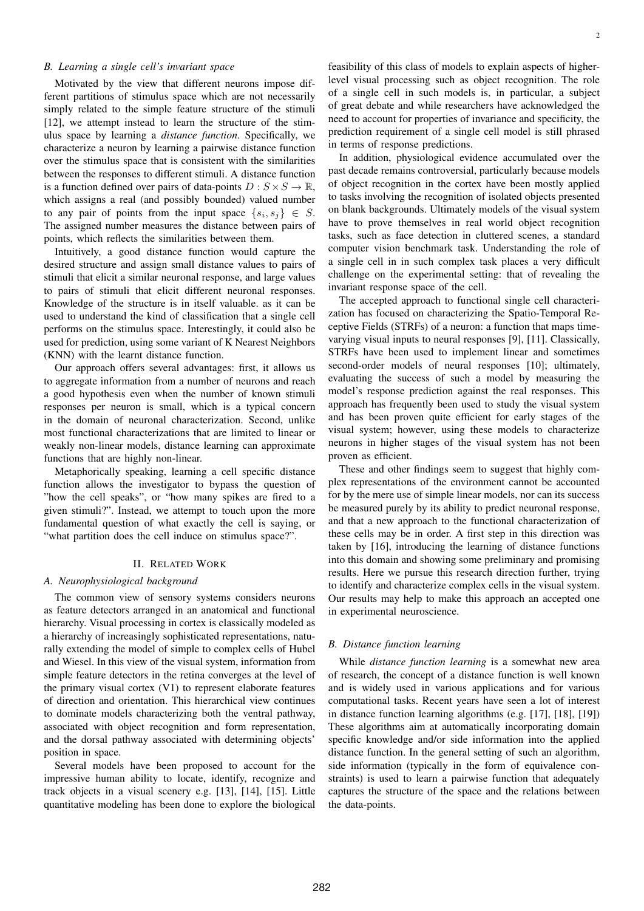## *B. Learning a single cell's invariant space*

Motivated by the view that different neurons impose different partitions of stimulus space which are not necessarily simply related to the simple feature structure of the stimuli [12], we attempt instead to learn the structure of the stimulus space by learning a *distance function*. Specifically, we characterize a neuron by learning a pairwise distance function over the stimulus space that is consistent with the similarities between the responses to different stimuli. A distance function is a function defined over pairs of data-points  $D : S \times S \to \mathbb{R}$ , which assigns a real (and possibly bounded) valued number to any pair of points from the input space  $\{s_i, s_j\} \in S$ . The assigned number measures the distance between pairs of points, which reflects the similarities between them.

Intuitively, a good distance function would capture the desired structure and assign small distance values to pairs of stimuli that elicit a similar neuronal response, and large values to pairs of stimuli that elicit different neuronal responses. Knowledge of the structure is in itself valuable. as it can be used to understand the kind of classification that a single cell performs on the stimulus space. Interestingly, it could also be used for prediction, using some variant of K Nearest Neighbors (KNN) with the learnt distance function.

Our approach offers several advantages: first, it allows us to aggregate information from a number of neurons and reach a good hypothesis even when the number of known stimuli responses per neuron is small, which is a typical concern in the domain of neuronal characterization. Second, unlike most functional characterizations that are limited to linear or weakly non-linear models, distance learning can approximate functions that are highly non-linear.

Metaphorically speaking, learning a cell specific distance function allows the investigator to bypass the question of "how the cell speaks", or "how many spikes are fired to a given stimuli?". Instead, we attempt to touch upon the more fundamental question of what exactly the cell is saying, or "what partition does the cell induce on stimulus space?".

## II. RELATED WORK

## *A. Neurophysiological background*

The common view of sensory systems considers neurons as feature detectors arranged in an anatomical and functional hierarchy. Visual processing in cortex is classically modeled as a hierarchy of increasingly sophisticated representations, naturally extending the model of simple to complex cells of Hubel and Wiesel. In this view of the visual system, information from simple feature detectors in the retina converges at the level of the primary visual cortex (V1) to represent elaborate features of direction and orientation. This hierarchical view continues to dominate models characterizing both the ventral pathway, associated with object recognition and form representation, and the dorsal pathway associated with determining objects' position in space.

Several models have been proposed to account for the impressive human ability to locate, identify, recognize and track objects in a visual scenery e.g. [13], [14], [15]. Little quantitative modeling has been done to explore the biological

feasibility of this class of models to explain aspects of higherlevel visual processing such as object recognition. The role of a single cell in such models is, in particular, a subject of great debate and while researchers have acknowledged the need to account for properties of invariance and specificity, the prediction requirement of a single cell model is still phrased in terms of response predictions.

In addition, physiological evidence accumulated over the past decade remains controversial, particularly because models of object recognition in the cortex have been mostly applied to tasks involving the recognition of isolated objects presented on blank backgrounds. Ultimately models of the visual system have to prove themselves in real world object recognition tasks, such as face detection in cluttered scenes, a standard computer vision benchmark task. Understanding the role of a single cell in in such complex task places a very difficult challenge on the experimental setting: that of revealing the invariant response space of the cell.

The accepted approach to functional single cell characterization has focused on characterizing the Spatio-Temporal Receptive Fields (STRFs) of a neuron: a function that maps timevarying visual inputs to neural responses [9], [11]. Classically, STRFs have been used to implement linear and sometimes second-order models of neural responses [10]; ultimately, evaluating the success of such a model by measuring the model's response prediction against the real responses. This approach has frequently been used to study the visual system and has been proven quite efficient for early stages of the visual system; however, using these models to characterize neurons in higher stages of the visual system has not been proven as efficient.

These and other findings seem to suggest that highly complex representations of the environment cannot be accounted for by the mere use of simple linear models, nor can its success be measured purely by its ability to predict neuronal response, and that a new approach to the functional characterization of these cells may be in order. A first step in this direction was taken by [16], introducing the learning of distance functions into this domain and showing some preliminary and promising results. Here we pursue this research direction further, trying to identify and characterize complex cells in the visual system. Our results may help to make this approach an accepted one in experimental neuroscience.

## *B. Distance function learning*

While *distance function learning* is a somewhat new area of research, the concept of a distance function is well known and is widely used in various applications and for various computational tasks. Recent years have seen a lot of interest in distance function learning algorithms (e.g. [17], [18], [19]) These algorithms aim at automatically incorporating domain specific knowledge and/or side information into the applied distance function. In the general setting of such an algorithm, side information (typically in the form of equivalence constraints) is used to learn a pairwise function that adequately captures the structure of the space and the relations between the data-points.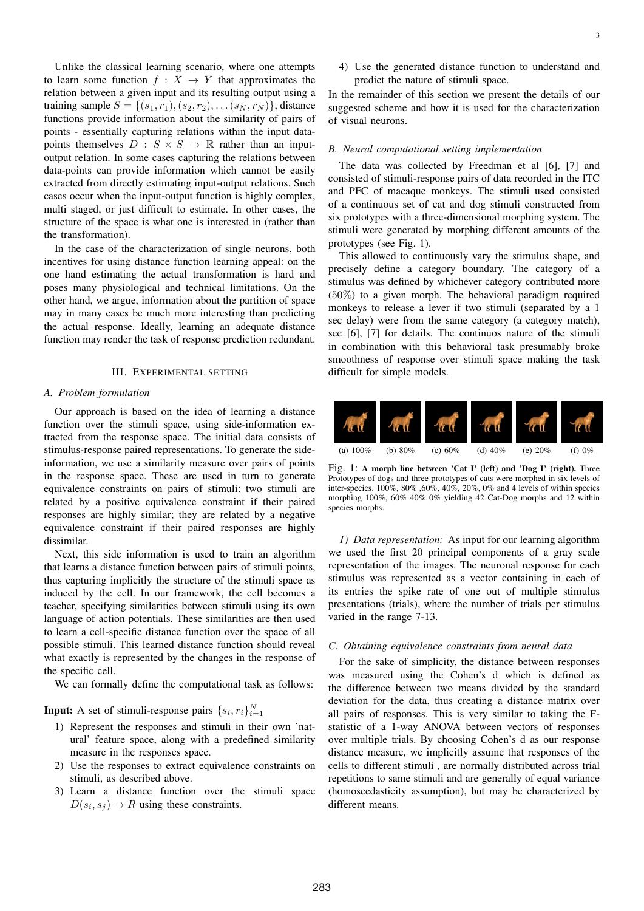Unlike the classical learning scenario, where one attempts to learn some function  $f : X \to Y$  that approximates the relation between a given input and its resulting output using a training sample  $S = \{(s_1, r_1), (s_2, r_2), \dots (s_N, r_N)\}\)$ , distance functions provide information about the similarity of pairs of points - essentially capturing relations within the input datapoints themselves  $D : S \times S \rightarrow \mathbb{R}$  rather than an inputoutput relation. In some cases capturing the relations between data-points can provide information which cannot be easily extracted from directly estimating input-output relations. Such cases occur when the input-output function is highly complex, multi staged, or just difficult to estimate. In other cases, the structure of the space is what one is interested in (rather than the transformation).

In the case of the characterization of single neurons, both incentives for using distance function learning appeal: on the one hand estimating the actual transformation is hard and poses many physiological and technical limitations. On the other hand, we argue, information about the partition of space may in many cases be much more interesting than predicting the actual response. Ideally, learning an adequate distance function may render the task of response prediction redundant.

#### III. EXPERIMENTAL SETTING

## *A. Problem formulation*

Our approach is based on the idea of learning a distance function over the stimuli space, using side-information extracted from the response space. The initial data consists of stimulus-response paired representations. To generate the sideinformation, we use a similarity measure over pairs of points in the response space. These are used in turn to generate equivalence constraints on pairs of stimuli: two stimuli are related by a positive equivalence constraint if their paired responses are highly similar; they are related by a negative equivalence constraint if their paired responses are highly dissimilar.

Next, this side information is used to train an algorithm that learns a distance function between pairs of stimuli points, thus capturing implicitly the structure of the stimuli space as induced by the cell. In our framework, the cell becomes a teacher, specifying similarities between stimuli using its own language of action potentials. These similarities are then used to learn a cell-specific distance function over the space of all possible stimuli. This learned distance function should reveal what exactly is represented by the changes in the response of the specific cell.

We can formally define the computational task as follows:

**Input:** A set of stimuli-response pairs  $\{s_i, r_i\}_{i=1}^N$ 

- 1) Represent the responses and stimuli in their own 'natural' feature space, along with a predefined similarity measure in the responses space.
- 2) Use the responses to extract equivalence constraints on stimuli, as described above.
- 3) Learn a distance function over the stimuli space  $D(s_i, s_j) \rightarrow R$  using these constraints.

4) Use the generated distance function to understand and predict the nature of stimuli space.

In the remainder of this section we present the details of our suggested scheme and how it is used for the characterization of visual neurons.

#### *B. Neural computational setting implementation*

The data was collected by Freedman et al [6], [7] and consisted of stimuli-response pairs of data recorded in the ITC and PFC of macaque monkeys. The stimuli used consisted of a continuous set of cat and dog stimuli constructed from six prototypes with a three-dimensional morphing system. The stimuli were generated by morphing different amounts of the prototypes (see Fig. 1).

This allowed to continuously vary the stimulus shape, and precisely define a category boundary. The category of a stimulus was defined by whichever category contributed more (50%) to a given morph. The behavioral paradigm required monkeys to release a lever if two stimuli (separated by a 1 sec delay) were from the same category (a category match), see [6], [7] for details. The continuos nature of the stimuli in combination with this behavioral task presumably broke smoothness of response over stimuli space making the task difficult for simple models.



Fig. 1: A morph line between 'Cat I' (left) and 'Dog I' (right). Three Prototypes of dogs and three prototypes of cats were morphed in six levels of inter-species. 100%, 80% ,60%, 40%, 20%, 0% and 4 levels of within species morphing 100%, 60% 40% 0% yielding 42 Cat-Dog morphs and 12 within species morphs.

*1) Data representation:* As input for our learning algorithm we used the first 20 principal components of a gray scale representation of the images. The neuronal response for each stimulus was represented as a vector containing in each of its entries the spike rate of one out of multiple stimulus presentations (trials), where the number of trials per stimulus varied in the range 7-13.

#### *C. Obtaining equivalence constraints from neural data*

For the sake of simplicity, the distance between responses was measured using the Cohen's d which is defined as the difference between two means divided by the standard deviation for the data, thus creating a distance matrix over all pairs of responses. This is very similar to taking the Fstatistic of a 1-way ANOVA between vectors of responses over multiple trials. By choosing Cohen's d as our response distance measure, we implicitly assume that responses of the cells to different stimuli , are normally distributed across trial repetitions to same stimuli and are generally of equal variance (homoscedasticity assumption), but may be characterized by different means.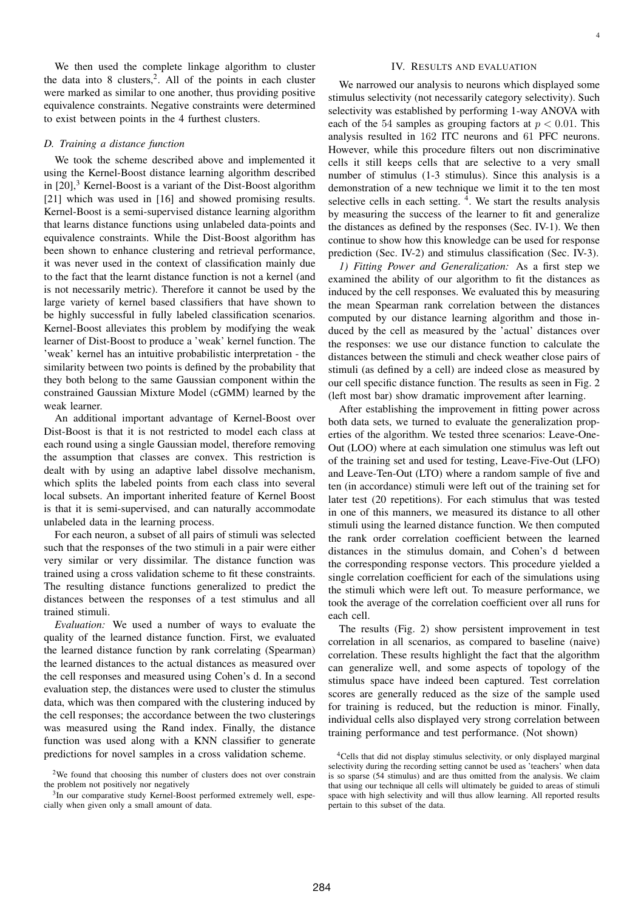We then used the complete linkage algorithm to cluster the data into 8 clusters,<sup>2</sup>. All of the points in each cluster were marked as similar to one another, thus providing positive equivalence constraints. Negative constraints were determined to exist between points in the 4 furthest clusters.

#### *D. Training a distance function*

We took the scheme described above and implemented it using the Kernel-Boost distance learning algorithm described in  $[20]$ ,<sup>3</sup> Kernel-Boost is a variant of the Dist-Boost algorithm [21] which was used in [16] and showed promising results. Kernel-Boost is a semi-supervised distance learning algorithm that learns distance functions using unlabeled data-points and equivalence constraints. While the Dist-Boost algorithm has been shown to enhance clustering and retrieval performance, it was never used in the context of classification mainly due to the fact that the learnt distance function is not a kernel (and is not necessarily metric). Therefore it cannot be used by the large variety of kernel based classifiers that have shown to be highly successful in fully labeled classification scenarios. Kernel-Boost alleviates this problem by modifying the weak learner of Dist-Boost to produce a 'weak' kernel function. The 'weak' kernel has an intuitive probabilistic interpretation - the similarity between two points is defined by the probability that they both belong to the same Gaussian component within the constrained Gaussian Mixture Model (cGMM) learned by the weak learner.

An additional important advantage of Kernel-Boost over Dist-Boost is that it is not restricted to model each class at each round using a single Gaussian model, therefore removing the assumption that classes are convex. This restriction is dealt with by using an adaptive label dissolve mechanism, which splits the labeled points from each class into several local subsets. An important inherited feature of Kernel Boost is that it is semi-supervised, and can naturally accommodate unlabeled data in the learning process.

For each neuron, a subset of all pairs of stimuli was selected such that the responses of the two stimuli in a pair were either very similar or very dissimilar. The distance function was trained using a cross validation scheme to fit these constraints. The resulting distance functions generalized to predict the distances between the responses of a test stimulus and all trained stimuli.

*Evaluation:* We used a number of ways to evaluate the quality of the learned distance function. First, we evaluated the learned distance function by rank correlating (Spearman) the learned distances to the actual distances as measured over the cell responses and measured using Cohen's d. In a second evaluation step, the distances were used to cluster the stimulus data, which was then compared with the clustering induced by the cell responses; the accordance between the two clusterings was measured using the Rand index. Finally, the distance function was used along with a KNN classifier to generate predictions for novel samples in a cross validation scheme.

## IV. RESULTS AND EVALUATION

We narrowed our analysis to neurons which displayed some stimulus selectivity (not necessarily category selectivity). Such selectivity was established by performing 1-way ANOVA with each of the 54 samples as grouping factors at  $p < 0.01$ . This analysis resulted in 162 ITC neurons and 61 PFC neurons. However, while this procedure filters out non discriminative cells it still keeps cells that are selective to a very small number of stimulus (1-3 stimulus). Since this analysis is a demonstration of a new technique we limit it to the ten most selective cells in each setting. <sup>4</sup>. We start the results analysis by measuring the success of the learner to fit and generalize the distances as defined by the responses (Sec. IV-1). We then continue to show how this knowledge can be used for response prediction (Sec. IV-2) and stimulus classification (Sec. IV-3).

*1) Fitting Power and Generalization:* As a first step we examined the ability of our algorithm to fit the distances as induced by the cell responses. We evaluated this by measuring the mean Spearman rank correlation between the distances computed by our distance learning algorithm and those induced by the cell as measured by the 'actual' distances over the responses: we use our distance function to calculate the distances between the stimuli and check weather close pairs of stimuli (as defined by a cell) are indeed close as measured by our cell specific distance function. The results as seen in Fig. 2 (left most bar) show dramatic improvement after learning.

After establishing the improvement in fitting power across both data sets, we turned to evaluate the generalization properties of the algorithm. We tested three scenarios: Leave-One-Out (LOO) where at each simulation one stimulus was left out of the training set and used for testing, Leave-Five-Out (LFO) and Leave-Ten-Out (LTO) where a random sample of five and ten (in accordance) stimuli were left out of the training set for later test (20 repetitions). For each stimulus that was tested in one of this manners, we measured its distance to all other stimuli using the learned distance function. We then computed the rank order correlation coefficient between the learned distances in the stimulus domain, and Cohen's d between the corresponding response vectors. This procedure yielded a single correlation coefficient for each of the simulations using the stimuli which were left out. To measure performance, we took the average of the correlation coefficient over all runs for each cell.

The results (Fig. 2) show persistent improvement in test correlation in all scenarios, as compared to baseline (naive) correlation. These results highlight the fact that the algorithm can generalize well, and some aspects of topology of the stimulus space have indeed been captured. Test correlation scores are generally reduced as the size of the sample used for training is reduced, but the reduction is minor. Finally, individual cells also displayed very strong correlation between training performance and test performance. (Not shown)

<sup>&</sup>lt;sup>2</sup>We found that choosing this number of clusters does not over constrain the problem not positively nor negatively

<sup>&</sup>lt;sup>3</sup>In our comparative study Kernel-Boost performed extremely well, especially when given only a small amount of data.

<sup>&</sup>lt;sup>4</sup>Cells that did not display stimulus selectivity, or only displayed marginal selectivity during the recording setting cannot be used as 'teachers' when data is so sparse (54 stimulus) and are thus omitted from the analysis. We claim that using our technique all cells will ultimately be guided to areas of stimuli space with high selectivity and will thus allow learning. All reported results pertain to this subset of the data.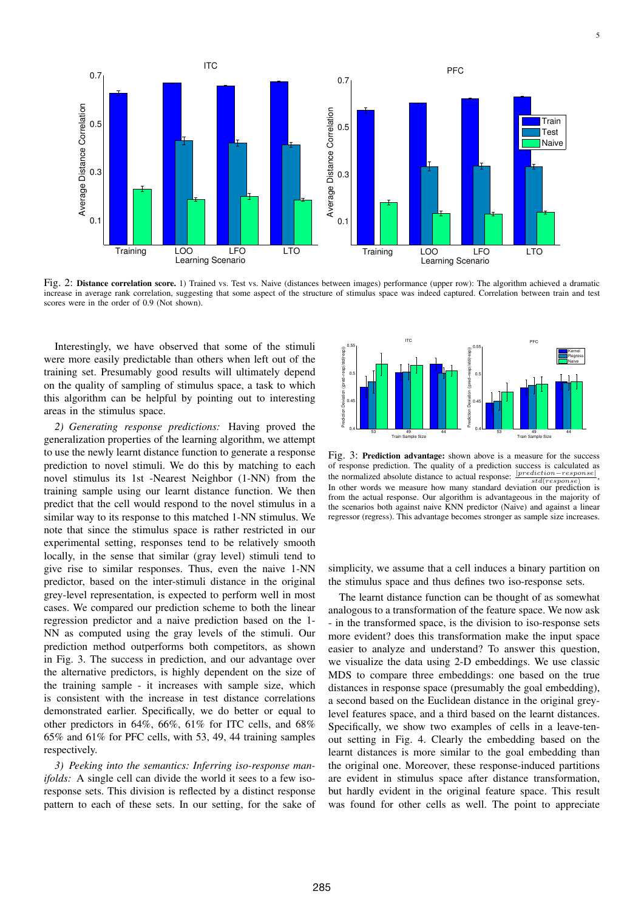

Fig. 2: Distance correlation score. 1) Trained vs. Test vs. Naive (distances between images) performance (upper row): The algorithm achieved a dramatic increase in average rank correlation, suggesting that some aspect of the structure of stimulus space was indeed captured. Correlation between train and test scores were in the order of 0.9 (Not shown).

Interestingly, we have observed that some of the stimuli were more easily predictable than others when left out of the training set. Presumably good results will ultimately depend on the quality of sampling of stimulus space, a task to which this algorithm can be helpful by pointing out to interesting areas in the stimulus space.

*2) Generating response predictions:* Having proved the generalization properties of the learning algorithm, we attempt to use the newly learnt distance function to generate a response prediction to novel stimuli. We do this by matching to each novel stimulus its 1st -Nearest Neighbor (1-NN) from the training sample using our learnt distance function. We then predict that the cell would respond to the novel stimulus in a similar way to its response to this matched 1-NN stimulus. We note that since the stimulus space is rather restricted in our experimental setting, responses tend to be relatively smooth locally, in the sense that similar (gray level) stimuli tend to give rise to similar responses. Thus, even the naive 1-NN predictor, based on the inter-stimuli distance in the original grey-level representation, is expected to perform well in most cases. We compared our prediction scheme to both the linear regression predictor and a naive prediction based on the 1- NN as computed using the gray levels of the stimuli. Our prediction method outperforms both competitors, as shown in Fig. 3. The success in prediction, and our advantage over the alternative predictors, is highly dependent on the size of the training sample - it increases with sample size, which is consistent with the increase in test distance correlations demonstrated earlier. Specifically, we do better or equal to other predictors in 64%, 66%, 61% for ITC cells, and 68% 65% and 61% for PFC cells, with 53, 49, 44 training samples respectively.

*3) Peeking into the semantics: Inferring iso-response manifolds:* A single cell can divide the world it sees to a few isoresponse sets. This division is reflected by a distinct response pattern to each of these sets. In our setting, for the sake of



Fig. 3: Prediction advantage: shown above is a measure for the success of response prediction. The quality of a prediction success is calculated as the normalized absolute distance to actual response:  $\frac{|prediction - response|}{std(response)}$ , In other words we measure how many standard deviation our prediction is from the actual response. Our algorithm is advantageous in the majority of the scenarios both against naive KNN predictor (Naive) and against a linear regressor (regress). This advantage becomes stronger as sample size increases.

simplicity, we assume that a cell induces a binary partition on the stimulus space and thus defines two iso-response sets.

The learnt distance function can be thought of as somewhat analogous to a transformation of the feature space. We now ask - in the transformed space, is the division to iso-response sets more evident? does this transformation make the input space easier to analyze and understand? To answer this question, we visualize the data using 2-D embeddings. We use classic MDS to compare three embeddings: one based on the true distances in response space (presumably the goal embedding), a second based on the Euclidean distance in the original greylevel features space, and a third based on the learnt distances. Specifically, we show two examples of cells in a leave-tenout setting in Fig. 4. Clearly the embedding based on the learnt distances is more similar to the goal embedding than the original one. Moreover, these response-induced partitions are evident in stimulus space after distance transformation, but hardly evident in the original feature space. This result was found for other cells as well. The point to appreciate